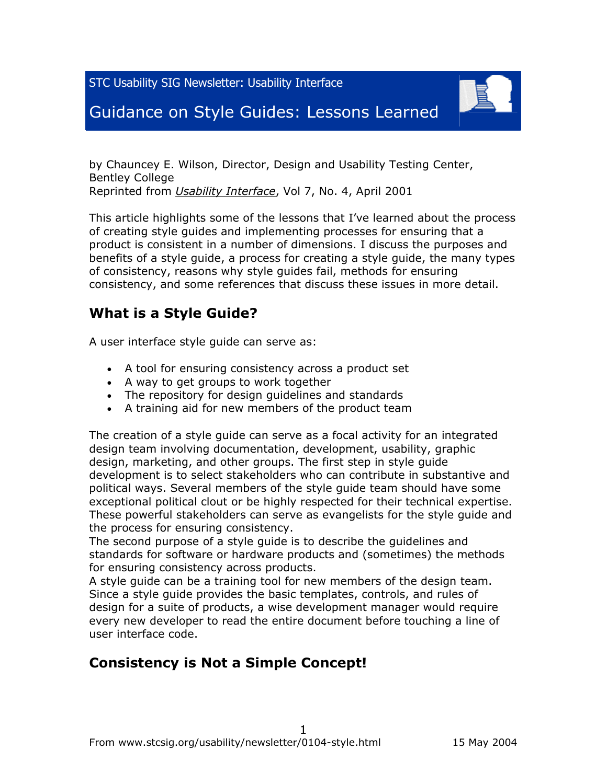STC Usability SIG Newsletter: Usability Interface



# Guidance on Style Guides: Lessons Learned

by Chauncey E. Wilson, Director, Design and Usability Testing Center, Bentley College Reprinted from *Usability Interface*, Vol 7, No. 4, April 2001

This article highlights some of the lessons that I've learned about the process of creating style guides and implementing processes for ensuring that a product is consistent in a number of dimensions. I discuss the purposes and benefits of a style guide, a process for creating a style guide, the many types of consistency, reasons why style guides fail, methods for ensuring consistency, and some references that discuss these issues in more detail.

#### **What is a Style Guide?**

A user interface style guide can serve as:

- A tool for ensuring consistency across a product set
- A way to get groups to work together
- The repository for design guidelines and standards
- A training aid for new members of the product team

The creation of a style guide can serve as a focal activity for an integrated design team involving documentation, development, usability, graphic design, marketing, and other groups. The first step in style guide development is to select stakeholders who can contribute in substantive and political ways. Several members of the style guide team should have some exceptional political clout or be highly respected for their technical expertise. These powerful stakeholders can serve as evangelists for the style guide and the process for ensuring consistency.

The second purpose of a style guide is to describe the guidelines and standards for software or hardware products and (sometimes) the methods for ensuring consistency across products.

A style guide can be a training tool for new members of the design team. Since a style guide provides the basic templates, controls, and rules of design for a suite of products, a wise development manager would require every new developer to read the entire document before touching a line of user interface code.

## **Consistency is Not a Simple Concept!**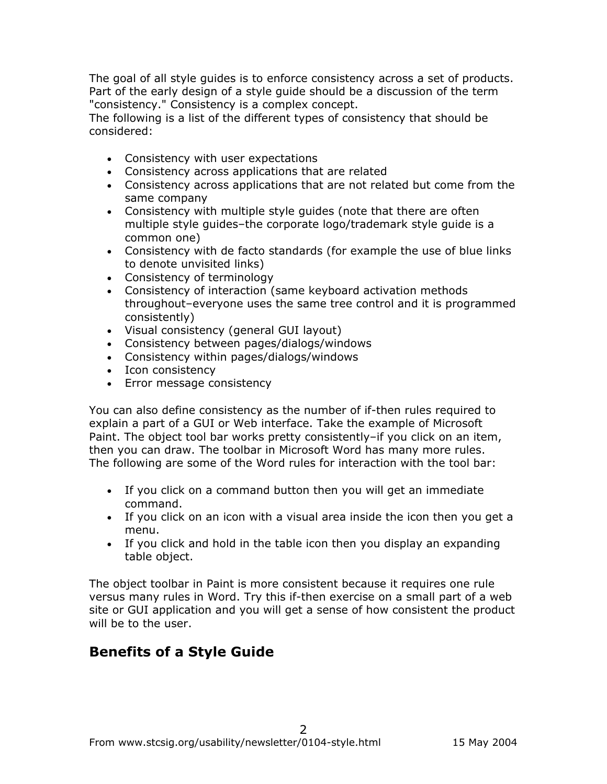The goal of all style guides is to enforce consistency across a set of products. Part of the early design of a style guide should be a discussion of the term "consistency." Consistency is a complex concept.

The following is a list of the different types of consistency that should be considered:

- Consistency with user expectations
- Consistency across applications that are related
- Consistency across applications that are not related but come from the same company
- Consistency with multiple style guides (note that there are often multiple style guides–the corporate logo/trademark style guide is a common one)
- Consistency with de facto standards (for example the use of blue links to denote unvisited links)
- Consistency of terminology
- Consistency of interaction (same keyboard activation methods throughout–everyone uses the same tree control and it is programmed consistently)
- Visual consistency (general GUI layout)
- Consistency between pages/dialogs/windows
- Consistency within pages/dialogs/windows
- Icon consistency
- Error message consistency

You can also define consistency as the number of if-then rules required to explain a part of a GUI or Web interface. Take the example of Microsoft Paint. The object tool bar works pretty consistently-if you click on an item, then you can draw. The toolbar in Microsoft Word has many more rules. The following are some of the Word rules for interaction with the tool bar:

- If you click on a command button then you will get an immediate command.
- If you click on an icon with a visual area inside the icon then you get a menu.
- If you click and hold in the table icon then you display an expanding table object.

The object toolbar in Paint is more consistent because it requires one rule versus many rules in Word. Try this if-then exercise on a small part of a web site or GUI application and you will get a sense of how consistent the product will be to the user.

## **Benefits of a Style Guide**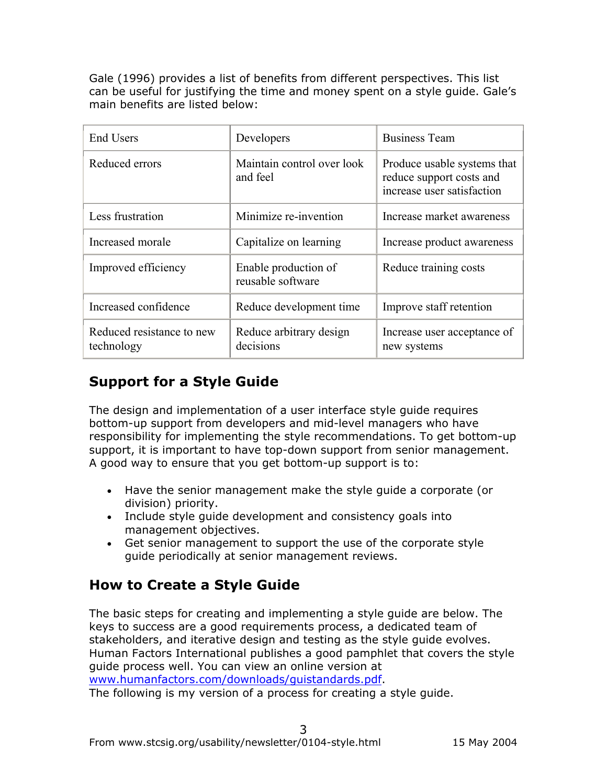Gale (1996) provides a list of benefits from different perspectives. This list can be useful for justifying the time and money spent on a style guide. Gale's main benefits are listed below:

| <b>End Users</b>                        | Developers                                | <b>Business Team</b>                                                                  |
|-----------------------------------------|-------------------------------------------|---------------------------------------------------------------------------------------|
| Reduced errors                          | Maintain control over look<br>and feel    | Produce usable systems that<br>reduce support costs and<br>increase user satisfaction |
| Less frustration                        | Minimize re-invention                     | Increase market awareness                                                             |
| Increased morale                        | Capitalize on learning                    | Increase product awareness                                                            |
| Improved efficiency                     | Enable production of<br>reusable software | Reduce training costs                                                                 |
| Increased confidence                    | Reduce development time                   | Improve staff retention                                                               |
| Reduced resistance to new<br>technology | Reduce arbitrary design<br>decisions      | Increase user acceptance of<br>new systems                                            |

# **Support for a Style Guide**

The design and implementation of a user interface style guide requires bottom-up support from developers and mid-level managers who have responsibility for implementing the style recommendations. To get bottom-up support, it is important to have top-down support from senior management. A good way to ensure that you get bottom-up support is to:

- Have the senior management make the style guide a corporate (or division) priority.
- Include style guide development and consistency goals into management objectives.
- Get senior management to support the use of the corporate style guide periodically at senior management reviews.

# **How to Create a Style Guide**

The basic steps for creating and implementing a style guide are below. The keys to success are a good requirements process, a dedicated team of stakeholders, and iterative design and testing as the style guide evolves. Human Factors International publishes a good pamphlet that covers the style guide process well. You can view an online version at www.humanfactors.com/downloads/guistandards.pdf. The following is my version of a process for creating a style guide.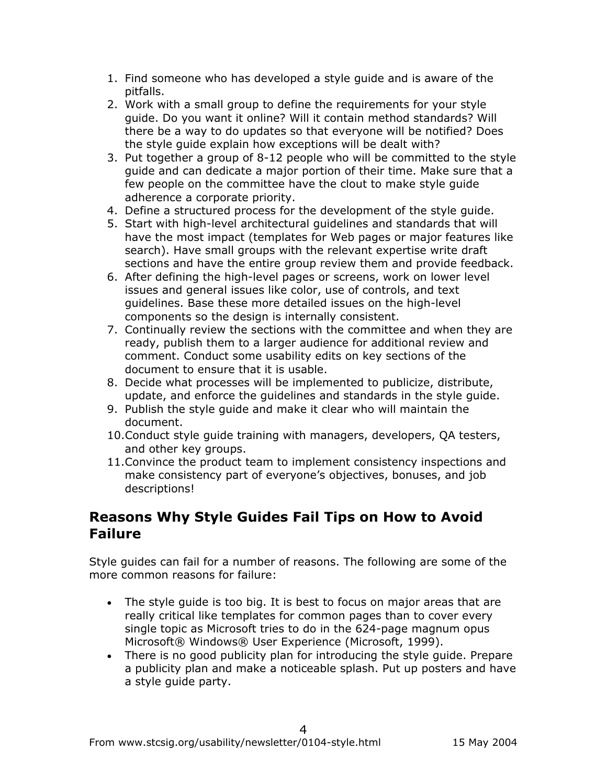- 1. Find someone who has developed a style guide and is aware of the pitfalls.
- 2. Work with a small group to define the requirements for your style guide. Do you want it online? Will it contain method standards? Will there be a way to do updates so that everyone will be notified? Does the style guide explain how exceptions will be dealt with?
- 3. Put together a group of 8-12 people who will be committed to the style guide and can dedicate a major portion of their time. Make sure that a few people on the committee have the clout to make style guide adherence a corporate priority.
- 4. Define a structured process for the development of the style guide.
- 5. Start with high-level architectural guidelines and standards that will have the most impact (templates for Web pages or major features like search). Have small groups with the relevant expertise write draft sections and have the entire group review them and provide feedback.
- 6. After defining the high-level pages or screens, work on lower level issues and general issues like color, use of controls, and text guidelines. Base these more detailed issues on the high-level components so the design is internally consistent.
- 7. Continually review the sections with the committee and when they are ready, publish them to a larger audience for additional review and comment. Conduct some usability edits on key sections of the document to ensure that it is usable.
- 8. Decide what processes will be implemented to publicize, distribute, update, and enforce the guidelines and standards in the style guide.
- 9. Publish the style guide and make it clear who will maintain the document.
- 10.Conduct style guide training with managers, developers, QA testers, and other key groups.
- 11.Convince the product team to implement consistency inspections and make consistency part of everyone's objectives, bonuses, and job descriptions!

#### **Reasons Why Style Guides Fail Tips on How to Avoid Failure**

Style guides can fail for a number of reasons. The following are some of the more common reasons for failure:

- The style guide is too big. It is best to focus on major areas that are really critical like templates for common pages than to cover every single topic as Microsoft tries to do in the 624-page magnum opus Microsoft® Windows® User Experience (Microsoft, 1999).
- There is no good publicity plan for introducing the style guide. Prepare a publicity plan and make a noticeable splash. Put up posters and have a style guide party.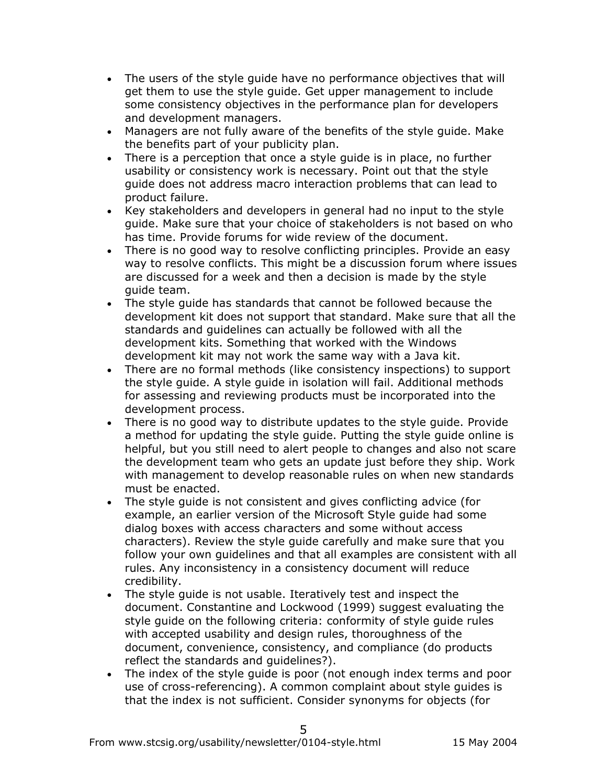- The users of the style guide have no performance objectives that will get them to use the style guide. Get upper management to include some consistency objectives in the performance plan for developers and development managers.
- Managers are not fully aware of the benefits of the style guide. Make the benefits part of your publicity plan.
- There is a perception that once a style guide is in place, no further usability or consistency work is necessary. Point out that the style guide does not address macro interaction problems that can lead to product failure.
- Key stakeholders and developers in general had no input to the style guide. Make sure that your choice of stakeholders is not based on who has time. Provide forums for wide review of the document.
- There is no good way to resolve conflicting principles. Provide an easy way to resolve conflicts. This might be a discussion forum where issues are discussed for a week and then a decision is made by the style guide team.
- The style guide has standards that cannot be followed because the development kit does not support that standard. Make sure that all the standards and guidelines can actually be followed with all the development kits. Something that worked with the Windows development kit may not work the same way with a Java kit.
- There are no formal methods (like consistency inspections) to support the style guide. A style guide in isolation will fail. Additional methods for assessing and reviewing products must be incorporated into the development process.
- There is no good way to distribute updates to the style guide. Provide a method for updating the style guide. Putting the style guide online is helpful, but you still need to alert people to changes and also not scare the development team who gets an update just before they ship. Work with management to develop reasonable rules on when new standards must be enacted.
- The style guide is not consistent and gives conflicting advice (for example, an earlier version of the Microsoft Style guide had some dialog boxes with access characters and some without access characters). Review the style guide carefully and make sure that you follow your own guidelines and that all examples are consistent with all rules. Any inconsistency in a consistency document will reduce credibility.
- The style guide is not usable. Iteratively test and inspect the document. Constantine and Lockwood (1999) suggest evaluating the style guide on the following criteria: conformity of style guide rules with accepted usability and design rules, thoroughness of the document, convenience, consistency, and compliance (do products reflect the standards and guidelines?).
- The index of the style guide is poor (not enough index terms and poor use of cross-referencing). A common complaint about style guides is that the index is not sufficient. Consider synonyms for objects (for

5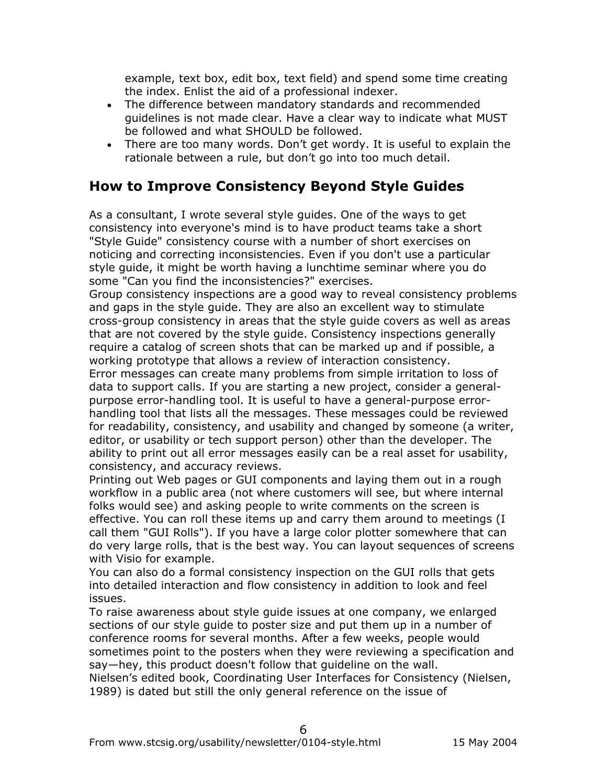example, text box, edit box, text field) and spend some time creating the index. Enlist the aid of a professional indexer.

- The difference between mandatory standards and recommended guidelines is not made clear. Have a clear way to indicate what MUST be followed and what SHOULD be followed.
- There are too many words. Don't get wordy. It is useful to explain the rationale between a rule, but don't go into too much detail.

### **How to Improve Consistency Beyond Style Guides**

As a consultant, I wrote several style guides. One of the ways to get consistency into everyone's mind is to have product teams take a short "Style Guide" consistency course with a number of short exercises on noticing and correcting inconsistencies. Even if you don't use a particular style guide, it might be worth having a lunchtime seminar where you do some "Can you find the inconsistencies?" exercises.

Group consistency inspections are a good way to reveal consistency problems and gaps in the style guide. They are also an excellent way to stimulate cross-group consistency in areas that the style guide covers as well as areas that are not covered by the style guide. Consistency inspections generally require a catalog of screen shots that can be marked up and if possible, a working prototype that allows a review of interaction consistency.

Error messages can create many problems from simple irritation to loss of data to support calls. If you are starting a new project, consider a generalpurpose error-handling tool. It is useful to have a general-purpose errorhandling tool that lists all the messages. These messages could be reviewed for readability, consistency, and usability and changed by someone (a writer, editor, or usability or tech support person) other than the developer. The ability to print out all error messages easily can be a real asset for usability, consistency, and accuracy reviews.

Printing out Web pages or GUI components and laying them out in a rough workflow in a public area (not where customers will see, but where internal folks would see) and asking people to write comments on the screen is effective. You can roll these items up and carry them around to meetings (I call them "GUI Rolls"). If you have a large color plotter somewhere that can do very large rolls, that is the best way. You can layout sequences of screens with Visio for example.

You can also do a formal consistency inspection on the GUI rolls that gets into detailed interaction and flow consistency in addition to look and feel issues.

To raise awareness about style guide issues at one company, we enlarged sections of our style guide to poster size and put them up in a number of conference rooms for several months. After a few weeks, people would sometimes point to the posters when they were reviewing a specification and say—hey, this product doesn't follow that guideline on the wall.

Nielsen's edited book, Coordinating User Interfaces for Consistency (Nielsen, 1989) is dated but still the only general reference on the issue of